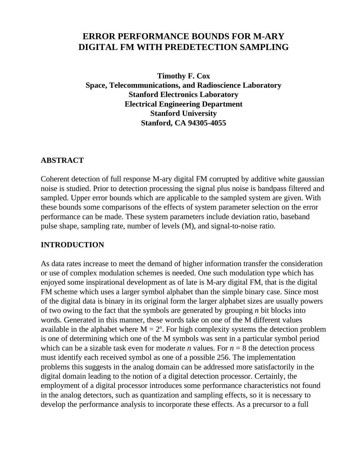# **ERROR PERFORMANCE BOUNDS FOR M-ARY DIGITAL FM WITH PREDETECTION SAMPLING**

**Timothy F. Cox Space, Telecommunications, and Radioscience Laboratory Stanford Electronics Laboratory Electrical Engineering Department Stanford University Stanford, CA 94305-4055**

### **ABSTRACT**

Coherent detection of full response M-ary digital FM corrupted by additive white gaussian noise is studied. Prior to detection processing the signal plus noise is bandpass filtered and sampled. Upper error bounds which are applicable to the sampled system are given. With these bounds some comparisons of the effects of system parameter selection on the error performance can be made. These system parameters include deviation ratio, baseband pulse shape, sampling rate, number of levels (M), and signal-to-noise ratio.

### **INTRODUCTION**

As data rates increase to meet the demand of higher information transfer the consideration or use of complex modulation schemes is needed. One such modulation type which has enjoyed some inspirational development as of late is M-ary digital FM, that is the digital FM scheme which uses a larger symbol alphabet than the simple binary case. Since most of the digital data is binary in its original form the larger alphabet sizes are usually powers of two owing to the fact that the symbols are generated by grouping *n* bit blocks into words. Generated in this manner, these words take on one of the M different values available in the alphabet where  $M = 2<sup>n</sup>$ . For high complexity systems the detection problem is one of determining which one of the M symbols was sent in a particular symbol period which can be a sizable task even for moderate *n* values. For  $n = 8$  the detection process must identify each received symbol as one of a possible 256. The implementation problems this suggests in the analog domain can be addressed more satisfactorily in the digital domain leading to the notion of a digital detection processor. Certainly, the employment of a digital processor introduces some performance characteristics not found in the analog detectors, such as quantization and sampling effects, so it is necessary to develop the performance analysis to incorporate these effects. As a precursor to a full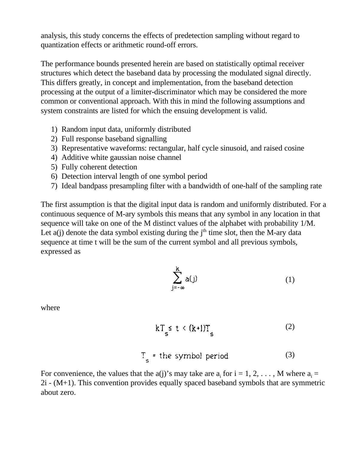analysis, this study concerns the effects of predetection sampling without regard to quantization effects or arithmetic round-off errors.

The performance bounds presented herein are based on statistically optimal receiver structures which detect the baseband data by processing the modulated signal directly. This differs greatly, in concept and implementation, from the baseband detection processing at the output of a limiter-discriminator which may be considered the more common or conventional approach. With this in mind the following assumptions and system constraints are listed for which the ensuing development is valid.

- 1) Random input data, uniformly distributed
- 2) Full response baseband signalling
- 3) Representative waveforms: rectangular, half cycle sinusoid, and raised cosine
- 4) Additive white gaussian noise channel
- 5) Fully coherent detection
- 6) Detection interval length of one symbol period
- 7) Ideal bandpass presampling filter with a bandwidth of one-half of the sampling rate

The first assumption is that the digital input data is random and uniformly distributed. For a continuous sequence of M-ary symbols this means that any symbol in any location in that sequence will take on one of the M distinct values of the alphabet with probability 1/M. Let  $a(i)$  denote the data symbol existing during the  $i<sup>th</sup>$  time slot, then the M-ary data sequence at time t will be the sum of the current symbol and all previous symbols, expressed as

$$
\sum_{j=-\infty}^{k} a(j) \tag{1}
$$

where

$$
kT_s \leq t \leq (k+1)T_s \tag{2}
$$

$$
T_s = the symbol period \t(3)
$$

For convenience, the values that the a(j)'s may take are  $a_i$  for  $i = 1, 2, ..., M$  where  $a_i =$ 2i - (M+1). This convention provides equally spaced baseband symbols that are symmetric about zero.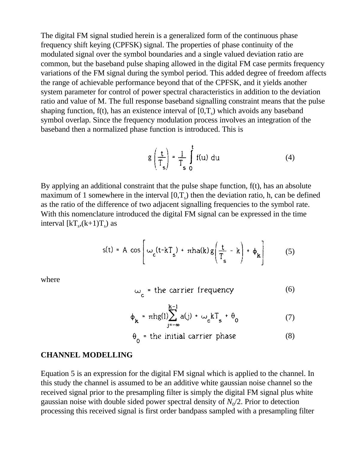The digital FM signal studied herein is a generalized form of the continuous phase frequency shift keying (CPFSK) signal. The properties of phase continuity of the modulated signal over the symbol boundaries and a single valued deviation ratio are common, but the baseband pulse shaping allowed in the digital FM case permits frequency variations of the FM signal during the symbol period. This added degree of freedom affects the range of achievable performance beyond that of the CPFSK, and it yields another system parameter for control of power spectral characteristics in addition to the deviation ratio and value of M. The full response baseband signalling constraint means that the pulse shaping function,  $f(t)$ , has an existence interval of  $[0,T_s)$  which avoids any baseband symbol overlap. Since the frequency modulation process involves an integration of the baseband then a normalized phase function is introduced. This is

$$
g\left(\frac{t}{T_s}\right) = \frac{1}{T_s} \int\limits_0^t f(u) \ du \tag{4}
$$

By applying an additional constraint that the pulse shape function, f(t), has an absolute maximum of 1 somewhere in the interval  $[0,T_s)$  then the deviation ratio, h, can be defined as the ratio of the difference of two adjacent signalling frequencies to the symbol rate. With this nomenclature introduced the digital FM signal can be expressed in the time interval  $\left[\text{kT}_{\text{s}}\text{,}\left(\text{k}+1\right)\text{T}_{\text{s}}\right]$  as

$$
s(t) = A \cos \left[ \omega_c (t - kT_s) + \pi h a(k) g\left(\frac{t}{T_s} - k\right) + \phi_k \right] \tag{5}
$$

where

$$
\omega_c = \text{the carrier frequency} \tag{6}
$$

$$
\phi_{\mathbf{k}} = \pi h g(l) \sum_{\mathbf{j} = -\infty}^{K-1} a(\mathbf{j}) + \omega_{\mathbf{c}} k T_{\mathbf{s}} + \theta_{0} \tag{7}
$$

$$
\theta_0 = \text{the initial carrier phase} \tag{8}
$$

#### **CHANNEL MODELLING**

Equation 5 is an expression for the digital FM signal which is applied to the channel. In this study the channel is assumed to be an additive white gaussian noise channel so the received signal prior to the presampling filter is simply the digital FM signal plus white gaussian noise with double sided power spectral density of  $N_0/2$ . Prior to detection processing this received signal is first order bandpass sampled with a presampling filter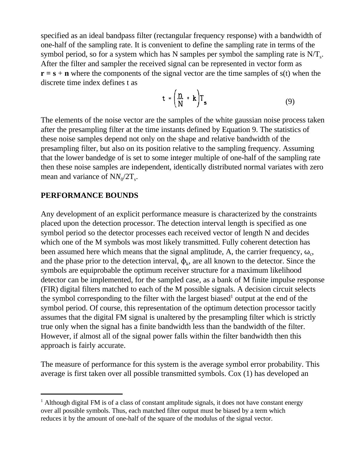specified as an ideal bandpass filter (rectangular frequency response) with a bandwidth of one-half of the sampling rate. It is convenient to define the sampling rate in terms of the symbol period, so for a system which has N samples per symbol the sampling rate is  $N/T_s$ . After the filter and sampler the received signal can be represented in vector form as  $\mathbf{r} = \mathbf{s} + \mathbf{n}$  where the components of the signal vector are the time samples of  $s(t)$  when the discrete time index defines t as

$$
t = \left(\frac{n}{N} + k\right)T_s \tag{9}
$$

The elements of the noise vector are the samples of the white gaussian noise process taken after the presampling filter at the time instants defined by Equation 9. The statistics of these noise samples depend not only on the shape and relative bandwidth of the presampling filter, but also on its position relative to the sampling frequency. Assuming that the lower bandedge of is set to some integer multiple of one-half of the sampling rate then these noise samples are independent, identically distributed normal variates with zero mean and variance of  $NN_0/2T_s$ .

### **PERFORMANCE BOUNDS**

Any development of an explicit performance measure is characterized by the constraints placed upon the detection processor. The detection interval length is specified as one symbol period so the detector processes each received vector of length N and decides which one of the M symbols was most likely transmitted. Fully coherent detection has been assumed here which means that the signal amplitude, A, the carrier frequency,  $\omega_c$ , and the phase prior to the detection interval,  $\phi_k$ , are all known to the detector. Since the symbols are equiprobable the optimum receiver structure for a maximum likelihood detector can be implemented, for the sampled case, as a bank of M finite impulse response (FIR) digital filters matched to each of the M possible signals. A decision circuit selects the symbol corresponding to the filter with the largest biased<sup>1</sup> output at the end of the symbol period. Of course, this representation of the optimum detection processor tacitly assumes that the digital FM signal is unaltered by the presampling filter which is strictly true only when the signal has a finite bandwidth less than the bandwidth of the filter. However, if almost all of the signal power falls within the filter bandwidth then this approach is fairly accurate.

The measure of performance for this system is the average symbol error probability. This average is first taken over all possible transmitted symbols. Cox (1) has developed an

 $<sup>1</sup>$  Although digital FM is of a class of constant amplitude signals, it does not have constant energy</sup> over all possible symbols. Thus, each matched filter output must be biased by a term which reduces it by the amount of one-half of the square of the modulus of the signal vector.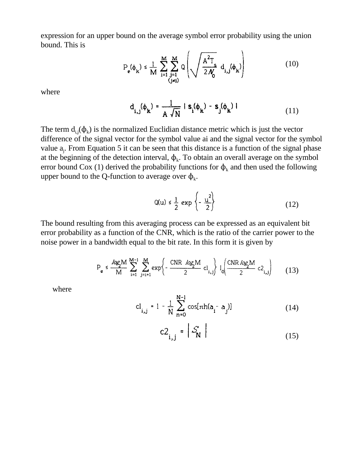expression for an upper bound on the average symbol error probability using the union bound. This is

$$
P_e(\phi_k) \le \frac{1}{M} \sum_{i=1}^{M} \sum_{\substack{j=1 \ (j \neq i)}}^{M} Q\left(\sqrt{\frac{A^2 T_s}{2N_0}} d_{i,j}(\phi_k)\right)
$$
(10)

where

$$
\mathbf{d}_{i,j}(\boldsymbol{\phi}_{k}) = \frac{1}{A \sqrt{N}} | \mathbf{s}_{i}(\boldsymbol{\phi}_{k}) - \mathbf{s}_{j}(\boldsymbol{\phi}_{k}) |
$$
 (11)

The term  $d_{i,j}(\phi_k)$  is the normalized Euclidian distance metric which is just the vector difference of the signal vector for the symbol value ai and the signal vector for the symbol value  $a_i$ . From Equation 5 it can be seen that this distance is a function of the signal phase at the beginning of the detection interval,  $\phi_k$ . To obtain an overall average on the symbol error bound Cox (1) derived the probability functions for  $\phi_k$  and then used the following upper bound to the Q-function to average over  $\phi_k$ .

$$
Q(u) \le \frac{1}{2} \exp\left\{-\frac{u^2}{2}\right\} \tag{12}
$$

The bound resulting from this averaging process can be expressed as an equivalent bit error probability as a function of the CNR, which is the ratio of the carrier power to the noise power in a bandwidth equal to the bit rate. In this form it is given by

$$
P_e \leq \frac{\log_2 M}{M} \sum_{i=1}^{M-1} \sum_{j=i+1}^{M} \exp\left\{-\frac{CNR \log_2 M}{2} c l_{i,j}\right\} l_0 \left(\frac{CNR \log_2 M}{2} c l_{i,j}\right) \tag{13}
$$

where

$$
cl_{i,j} = 1 - \frac{1}{N} \sum_{n=0}^{N-1} \cos[\pi h(a_i - a_j)]
$$
 (14)

$$
c2_{i,j} = \left| \mathcal{S}_{N} \right| \tag{15}
$$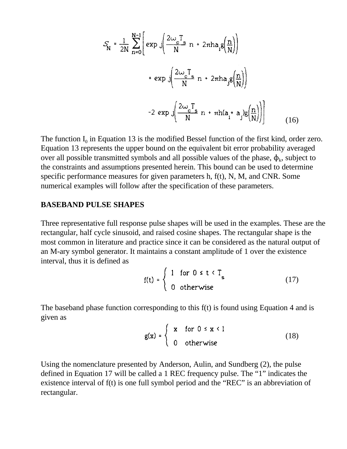$$
S_{N} = \frac{1}{2N} \sum_{n=0}^{N-1} \left[ exp \int \left( \frac{2\omega_{c}T_{s}}{N} n + 2\pi h a_{i}g\left(\frac{n}{N}\right) \right) \right]
$$
  
+  $exp \int \left( \frac{2\omega_{c}T_{s}}{N} n + 2\pi h a_{j}g\left(\frac{n}{N}\right) \right)$   
-2  $exp \int \left( \frac{2\omega_{c}T_{s}}{N} n + \pi h(a_{i} + a_{j})g\left(\frac{n}{N}\right) \right) \right]$  (16)

The function  $I_0$  in Equation 13 is the modified Bessel function of the first kind, order zero. Equation 13 represents the upper bound on the equivalent bit error probability averaged over all possible transmitted symbols and all possible values of the phase,  $\phi_k$ , subject to the constraints and assumptions presented herein. This bound can be used to determine specific performance measures for given parameters h, f(t), N, M, and CNR. Some numerical examples will follow after the specification of these parameters.

#### **BASEBAND PULSE SHAPES**

Three representative full response pulse shapes will be used in the examples. These are the rectangular, half cycle sinusoid, and raised cosine shapes. The rectangular shape is the most common in literature and practice since it can be considered as the natural output of an M-ary symbol generator. It maintains a constant amplitude of 1 over the existence interval, thus it is defined as

$$
f(t) = \begin{cases} 1 & \text{for } 0 \leq t < T_s \\ 0 & \text{otherwise} \end{cases}
$$
 (17)

The baseband phase function corresponding to this f(t) is found using Equation 4 and is given as

$$
g(x) = \begin{cases} x & \text{for } 0 \le x < 1 \\ 0 & \text{otherwise} \end{cases}
$$
 (18)

Using the nomenclature presented by Anderson, Aulin, and Sundberg (2), the pulse defined in Equation 17 will be called a 1 REC frequency pulse. The "1" indicates the existence interval of f(t) is one full symbol period and the "REC" is an abbreviation of rectangular.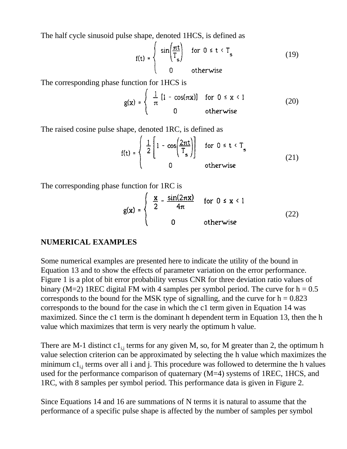The half cycle sinusoid pulse shape, denoted 1HCS, is defined as

$$
f(t) = \begin{cases} \sin\left(\frac{\pi t}{T_s}\right) & \text{for } 0 \le t < T_s \\ 0 & \text{otherwise} \end{cases}
$$
 (19)

The corresponding phase function for 1HCS is

$$
g(x) = \begin{cases} \frac{1}{\pi} [1 - \cos(\pi x)] & \text{for } 0 \le x < 1 \\ 0 & \text{otherwise} \end{cases}
$$
 (20)

The raised cosine pulse shape, denoted 1RC, is defined as

$$
f(t) = \begin{cases} \frac{1}{2} \left[ 1 - \cos\left(\frac{2\pi t}{T_s}\right) \right] & \text{for } 0 \le t < T_s \\ 0 & \text{otherwise} \end{cases}
$$
(21)

The corresponding phase function for 1RC is

$$
g(x) = \begin{cases} \frac{x}{2} - \frac{\sin(2\pi x)}{4\pi} & \text{for } 0 \le x < 1 \\ 0 & \text{otherwise} \end{cases}
$$
 (22)

### **NUMERICAL EXAMPLES**

Some numerical examples are presented here to indicate the utility of the bound in Equation 13 and to show the effects of parameter variation on the error performance. Figure 1 is a plot of bit error probability versus CNR for three deviation ratio values of binary (M=2) 1REC digital FM with 4 samples per symbol period. The curve for  $h = 0.5$ corresponds to the bound for the MSK type of signalling, and the curve for  $h = 0.823$ corresponds to the bound for the case in which the c1 term given in Equation 14 was maximized. Since the c1 term is the dominant h dependent term in Equation 13, then the h value which maximizes that term is very nearly the optimum h value.

There are M-1 distinct  $c1_{ij}$  terms for any given M, so, for M greater than 2, the optimum h value selection criterion can be approximated by selecting the h value which maximizes the minimum  $c1_{ij}$  terms over all i and j. This procedure was followed to determine the h values used for the performance comparison of quaternary (M=4) systems of 1REC, 1HCS, and 1RC, with 8 samples per symbol period. This performance data is given in Figure 2.

Since Equations 14 and 16 are summations of N terms it is natural to assume that the performance of a specific pulse shape is affected by the number of samples per symbol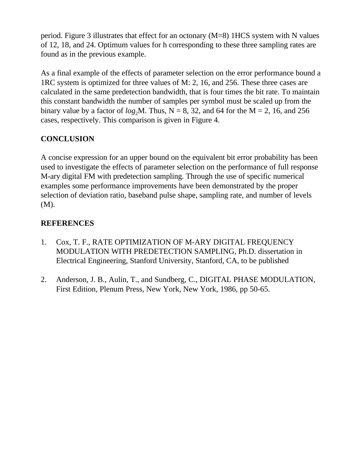period. Figure 3 illustrates that effect for an octonary (M=8) 1HCS system with N values of 12, 18, and 24. Optimum values for h corresponding to these three sampling rates are found as in the previous example.

As a final example of the effects of parameter selection on the error performance bound a 1RC system is optimized for three values of M: 2, 16, and 256. These three cases are calculated in the same predetection bandwidth, that is four times the bit rate. To maintain this constant bandwidth the number of samples per symbol must be scaled up from the binary value by a factor of  $log_2 M$ . Thus, N = 8, 32, and 64 for the M = 2, 16, and 256 cases, respectively. This comparison is given in Figure 4.

## **CONCLUSION**

A concise expression for an upper bound on the equivalent bit error probability has been used to investigate the effects of parameter selection on the performance of full response M-ary digital FM with predetection sampling. Through the use of specific numerical examples some performance improvements have been demonstrated by the proper selection of deviation ratio, baseband pulse shape, sampling rate, and number of levels (M).

# **REFERENCES**

- 1. Cox, T. F., RATE OPTIMIZATION OF M-ARY DIGITAL FREQUENCY MODULATION WITH PREDETECTION SAMPLING, Ph.D. dissertation in Electrical Engineering, Stanford University, Stanford, CA, to be published
- 2. Anderson, J. B., Aulin, T., and Sundberg, C., DIGITAL PHASE MODULATION, First Edition, Plenum Press, New York, New York, 1986, pp 50-65.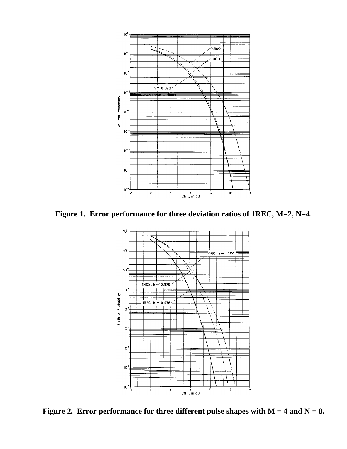

**Figure 1. Error performance for three deviation ratios of 1REC, M=2, N=4.**



**Figure 2. Error performance for three different pulse shapes with M = 4 and N = 8.**